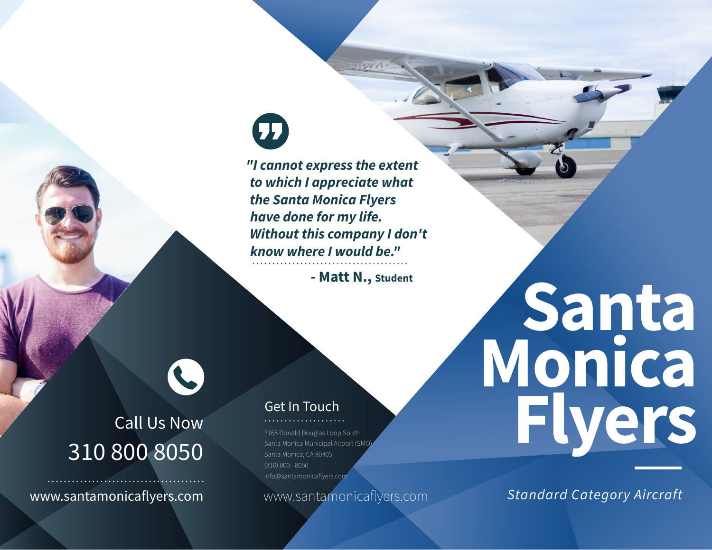# $\mathbf \Omega$

*"I cannot express the extent to which I appreciate what the Santa Monica Flyers have done for my life. Without this company I don't know where I would be."* 

**- Matt N., Student**

19186

# Call Us Now 310 800 8050

L

www.santamonicaflyers.com www.santamonicaflyers.com

# Get In Touch

3165 Donald Douglas Loop South Santa Monica Municipal Airport (SMO) Santa Monica, CA 90405 (310) 800 - 8050 info@santamonicaflyers.com

# *Standard Category Aircraft*

**Monica** 

**Flyers**

**Santa**